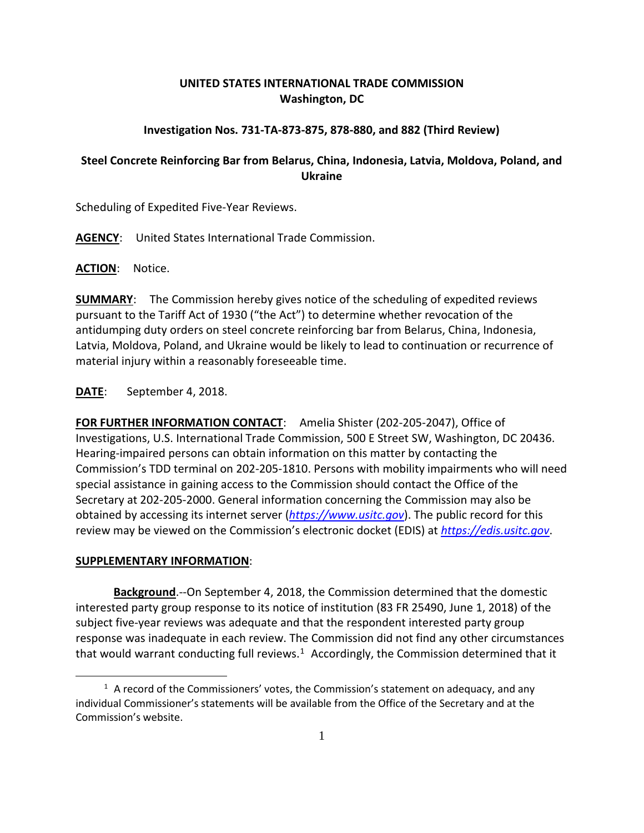## **UNITED STATES INTERNATIONAL TRADE COMMISSION Washington, DC**

## **Investigation Nos. 731-TA-873-875, 878-880, and 882 (Third Review)**

## **Steel Concrete Reinforcing Bar from Belarus, China, Indonesia, Latvia, Moldova, Poland, and Ukraine**

Scheduling of Expedited Five-Year Reviews.

**AGENCY**: United States International Trade Commission.

**ACTION**: Notice.

**SUMMARY**: The Commission hereby gives notice of the scheduling of expedited reviews pursuant to the Tariff Act of 1930 ("the Act") to determine whether revocation of the antidumping duty orders on steel concrete reinforcing bar from Belarus, China, Indonesia, Latvia, Moldova, Poland, and Ukraine would be likely to lead to continuation or recurrence of material injury within a reasonably foreseeable time.

**DATE**: September 4, 2018.

**FOR FURTHER INFORMATION CONTACT**: Amelia Shister (202-205-2047), Office of Investigations, U.S. International Trade Commission, 500 E Street SW, Washington, DC 20436. Hearing-impaired persons can obtain information on this matter by contacting the Commission's TDD terminal on 202-205-1810. Persons with mobility impairments who will need special assistance in gaining access to the Commission should contact the Office of the Secretary at 202-205-2000. General information concerning the Commission may also be obtained by accessing its internet server (*[https://www.usitc.gov](https://www.usitc.gov/)*). The public record for this review may be viewed on the Commission's electronic docket (EDIS) at *[https://edis.usitc.gov](https://edis.usitc.gov/)*.

## **SUPPLEMENTARY INFORMATION**:

 $\overline{a}$ 

**Background**.--On September 4, 2018, the Commission determined that the domestic interested party group response to its notice of institution (83 FR 25490, June 1, 2018) of the subject five-year reviews was adequate and that the respondent interested party group response was inadequate in each review. The Commission did not find any other circumstances that would warrant conducting full reviews.<sup>[1](#page-0-0)</sup> Accordingly, the Commission determined that it

<span id="page-0-0"></span> $1$  A record of the Commissioners' votes, the Commission's statement on adequacy, and any individual Commissioner's statements will be available from the Office of the Secretary and at the Commission's website.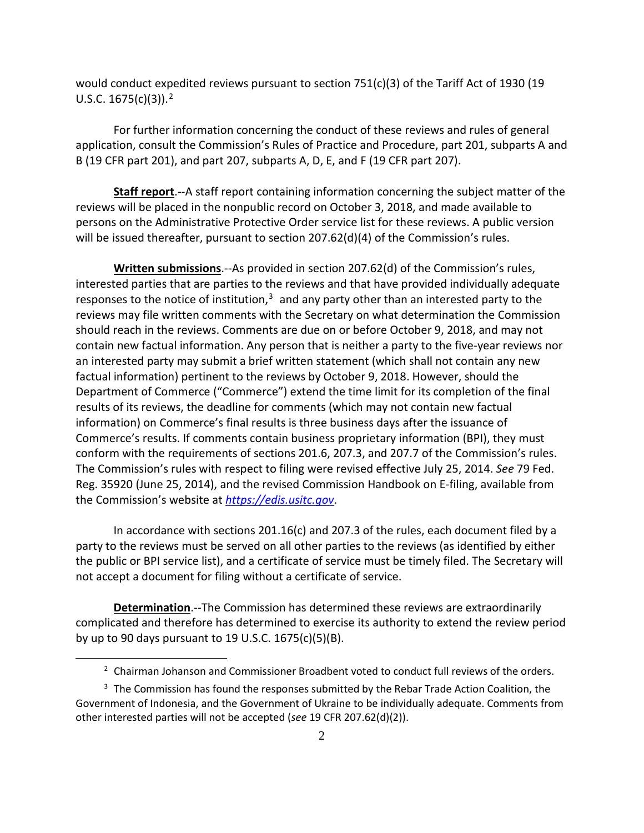would conduct expedited reviews pursuant to section 751(c)(3) of the Tariff Act of 1930 (19 U.S.C. 1675(c)(3)). [2](#page-1-0)

For further information concerning the conduct of these reviews and rules of general application, consult the Commission's Rules of Practice and Procedure, part 201, subparts A and B (19 CFR part 201), and part 207, subparts A, D, E, and F (19 CFR part 207).

**Staff report**.--A staff report containing information concerning the subject matter of the reviews will be placed in the nonpublic record on October 3, 2018, and made available to persons on the Administrative Protective Order service list for these reviews. A public version will be issued thereafter, pursuant to section 207.62(d)(4) of the Commission's rules.

**Written submissions**.--As provided in section 207.62(d) of the Commission's rules, interested parties that are parties to the reviews and that have provided individually adequate responses to the notice of institution, $3$  and any party other than an interested party to the reviews may file written comments with the Secretary on what determination the Commission should reach in the reviews. Comments are due on or before October 9, 2018, and may not contain new factual information. Any person that is neither a party to the five-year reviews nor an interested party may submit a brief written statement (which shall not contain any new factual information) pertinent to the reviews by October 9, 2018. However, should the Department of Commerce ("Commerce") extend the time limit for its completion of the final results of its reviews, the deadline for comments (which may not contain new factual information) on Commerce's final results is three business days after the issuance of Commerce's results. If comments contain business proprietary information (BPI), they must conform with the requirements of sections 201.6, 207.3, and 207.7 of the Commission's rules. The Commission's rules with respect to filing were revised effective July 25, 2014. *See* 79 Fed. Reg. 35920 (June 25, 2014), and the revised Commission Handbook on E-filing, available from the Commission's website at *[https://edis.usitc.gov](https://edis.usitc.gov/)*.

In accordance with sections 201.16(c) and 207.3 of the rules, each document filed by a party to the reviews must be served on all other parties to the reviews (as identified by either the public or BPI service list), and a certificate of service must be timely filed. The Secretary will not accept a document for filing without a certificate of service.

**Determination**.--The Commission has determined these reviews are extraordinarily complicated and therefore has determined to exercise its authority to extend the review period by up to 90 days pursuant to 19 U.S.C. 1675(c)(5)(B).

 $\overline{a}$ 

 $2$  Chairman Johanson and Commissioner Broadbent voted to conduct full reviews of the orders.

<span id="page-1-1"></span><span id="page-1-0"></span> $3$  The Commission has found the responses submitted by the Rebar Trade Action Coalition, the Government of Indonesia, and the Government of Ukraine to be individually adequate. Comments from other interested parties will not be accepted (*see* 19 CFR 207.62(d)(2)).